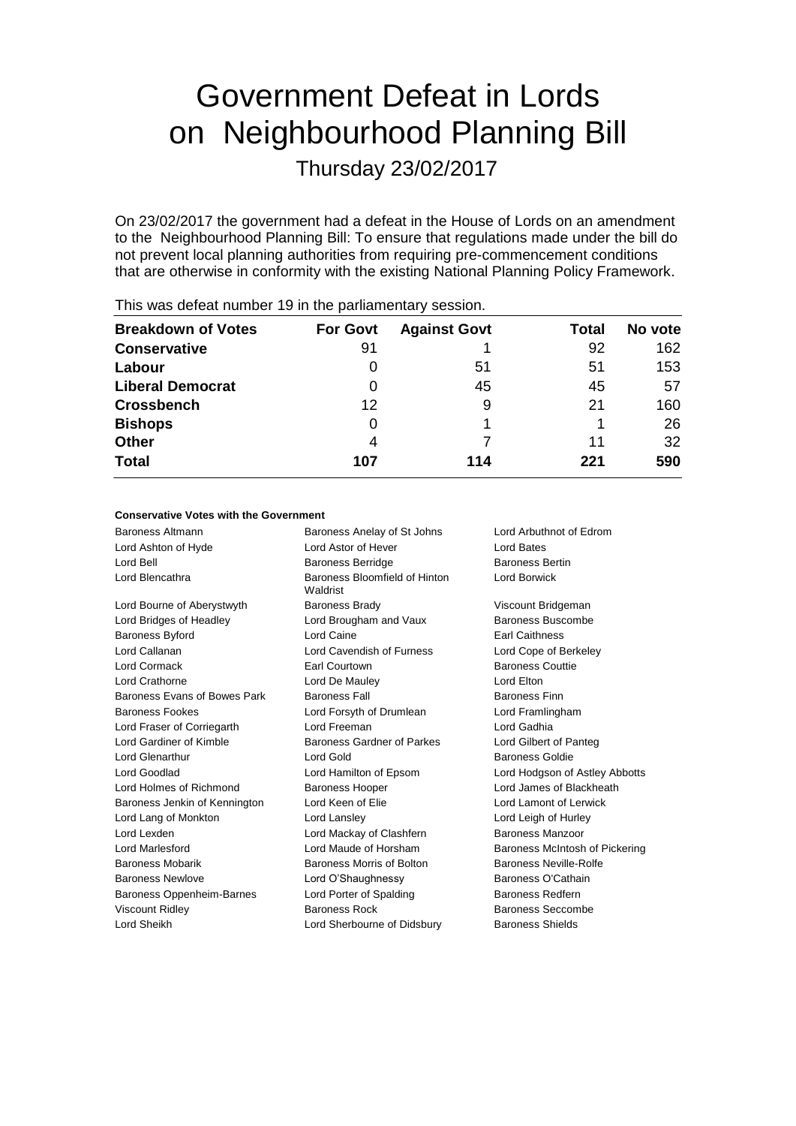# Government Defeat in Lords on Neighbourhood Planning Bill

Thursday 23/02/2017

On 23/02/2017 the government had a defeat in the House of Lords on an amendment to the Neighbourhood Planning Bill: To ensure that regulations made under the bill do not prevent local planning authorities from requiring pre-commencement conditions that are otherwise in conformity with the existing National Planning Policy Framework.

| <b>Breakdown of Votes</b> | <b>For Govt</b> | <b>Against Govt</b> | Total | No vote |
|---------------------------|-----------------|---------------------|-------|---------|
| <b>Conservative</b>       | 91              |                     | 92    | 162     |
| Labour                    | $\Omega$        | 51                  | 51    | 153     |
| <b>Liberal Democrat</b>   | $\Omega$        | 45                  | 45    | 57      |
| <b>Crossbench</b>         | 12              | 9                   | 21    | 160     |
| <b>Bishops</b>            | 0               |                     |       | 26      |
| <b>Other</b>              | 4               |                     | 11    | 32      |
| <b>Total</b>              | 107             | 114                 | 221   | 590     |
|                           |                 |                     |       |         |

This was defeat number 19 in the parliamentary session.

### **Conservative Votes with the Government**

| Baroness Altmann              | Baroness Anelay of St Johns               | Lord Arbuthnot of Edrom        |
|-------------------------------|-------------------------------------------|--------------------------------|
| Lord Ashton of Hyde           | Lord Astor of Hever                       | Lord Bates                     |
| Lord Bell                     | <b>Baroness Berridge</b>                  | <b>Baroness Bertin</b>         |
| Lord Blencathra               | Baroness Bloomfield of Hinton<br>Waldrist | Lord Borwick                   |
| Lord Bourne of Aberystwyth    | <b>Baroness Brady</b>                     | Viscount Bridgeman             |
| Lord Bridges of Headley       | Lord Brougham and Vaux                    | Baroness Buscombe              |
| Baroness Byford               | Lord Caine                                | <b>Earl Caithness</b>          |
| Lord Callanan                 | Lord Cavendish of Furness                 | Lord Cope of Berkeley          |
| Lord Cormack                  | Earl Courtown                             | <b>Baroness Couttie</b>        |
| Lord Crathorne                | Lord De Mauley                            | Lord Elton                     |
| Baroness Evans of Bowes Park  | <b>Baroness Fall</b>                      | <b>Baroness Finn</b>           |
| <b>Baroness Fookes</b>        | Lord Forsyth of Drumlean                  | Lord Framlingham               |
| Lord Fraser of Corriegarth    | Lord Freeman                              | Lord Gadhia                    |
| Lord Gardiner of Kimble       | Baroness Gardner of Parkes                | Lord Gilbert of Panteg         |
| <b>Lord Glenarthur</b>        | Lord Gold                                 | Baroness Goldie                |
| Lord Goodlad                  | Lord Hamilton of Epsom                    | Lord Hodgson of Astley Abbotts |
| Lord Holmes of Richmond       | <b>Baroness Hooper</b>                    | Lord James of Blackheath       |
| Baroness Jenkin of Kennington | Lord Keen of Elie                         | Lord Lamont of Lerwick         |
| Lord Lang of Monkton          | Lord Lansley                              | Lord Leigh of Hurley           |
| Lord Lexden                   | Lord Mackay of Clashfern                  | Baroness Manzoor               |
| Lord Marlesford               | Lord Maude of Horsham                     | Baroness McIntosh of Pickering |
| <b>Baroness Mobarik</b>       | Baroness Morris of Bolton                 | <b>Baroness Neville-Rolfe</b>  |
| <b>Baroness Newlove</b>       | Lord O'Shaughnessy                        | Baroness O'Cathain             |
| Baroness Oppenheim-Barnes     | Lord Porter of Spalding                   | <b>Baroness Redfern</b>        |
| <b>Viscount Ridley</b>        | <b>Baroness Rock</b>                      | Baroness Seccombe              |
| Lord Sheikh                   | Lord Sherbourne of Didsbury               | <b>Baroness Shields</b>        |
|                               |                                           |                                |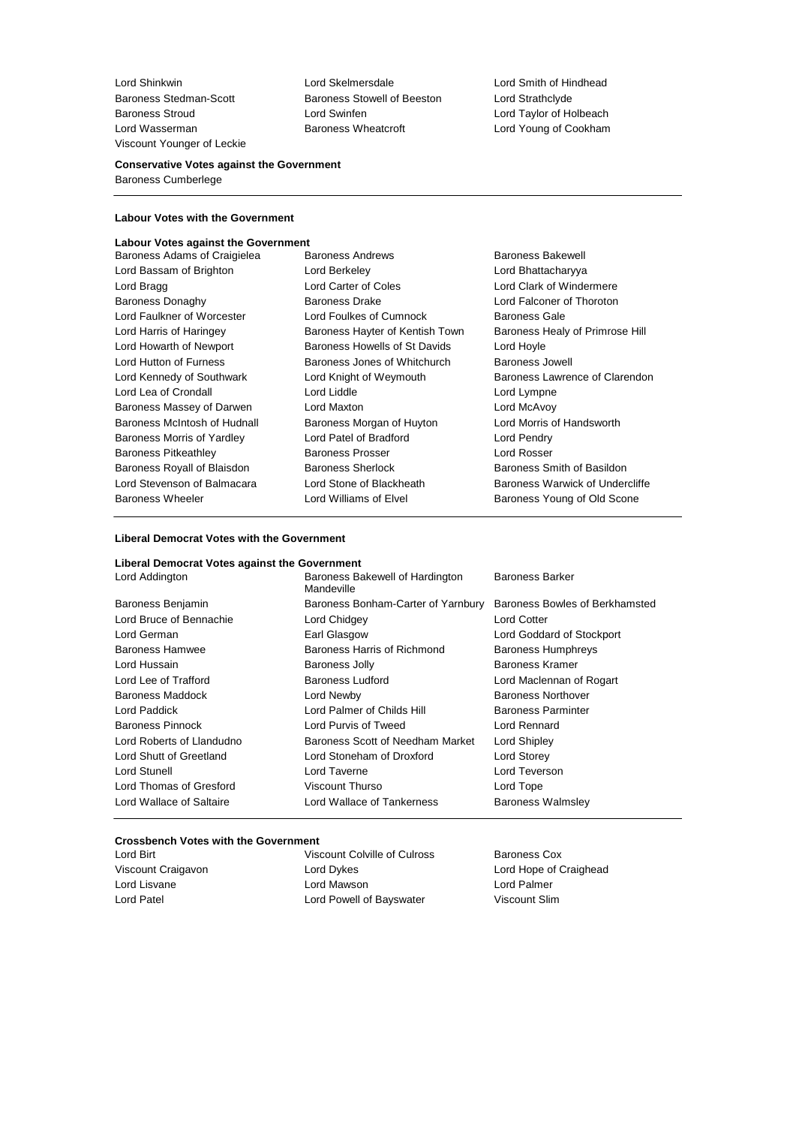Viscount Younger of Leckie

Baroness Stedman-Scott Baroness Stowell of Beeston Lord Strathclyde Baroness Stroud Lord Swinfen Lord Taylor of Holbeach Lord Wasserman **Baroness Wheatcroft** Lord Young of Cookham

Lord Shinkwin Lord Skelmersdale Lord Smith of Hindhead

### **Conservative Votes against the Government** Baroness Cumberlege

### **Labour Votes with the Government**

# **Labour Votes against the Government<br>Baroness Adams of Craigielea Baroness Andrews**

- Baroness Adams of Craigielea Baroness Andrews Baroness Bakewell Lord Bassam of Brighton **Lord Berkeley Lord Berkeley Lord Bhattacharyya** Lord Bragg **Lord Carter of Coles** Lord Clark of Windermere Baroness Donaghy **Baroness Drake** Lord Falconer of Thoroton<br>
Lord Falconer of Worcester Lord Foulkes of Cumnock Baroness Gale Lord Faulkner of Worcester **Lord Foulkes of Cumnock** Baroness Gale<br>
Lord Harris of Haringey **Baroness Hayter of Kentish Town** Baroness Healy of Primrose Hill Lord Harris of Haringey Baroness Hayter of Kentish Town Lord Howarth of Newport **Baroness Howells of St Davids** Lord Hoyle<br>
Lord Hutton of Furness **Communist Baroness Jones of Whitchurch** Baroness Jones of Whitchurch Lord Kennedy of Southwark Lord Knight of Weymouth Baroness Lawrence of Clarendon Lord Lea of Crondall **Lord Liddle** Lord Liddle **Lord Lympne** Baroness Massey of Darwen Lord Maxton Lord McAvoy Baroness McIntosh of Hudnall Baroness Morgan of Huyton Lord Morris of Handsworth Baroness Morris of Yardley Lord Patel of Bradford Lord Pendry Baroness Pitkeathley Baroness Prosser Lord Rosser Baroness Royall of Blaisdon Baroness Sherlock Baroness Smith of Basildon Lord Stevenson of Balmacara Lord Stone of Blackheath Baroness Warwick of Undercliffe Baroness Wheeler **Lord Williams of Elvel** Baroness Young of Old Scone
	- Baroness Jones of Whitchurch Baroness Jowell
- 

### **Liberal Democrat Votes with the Government**

| Liberal Democrat Votes against the Government |                                                                         |                                |
|-----------------------------------------------|-------------------------------------------------------------------------|--------------------------------|
| Lord Addington                                | <b>Baroness Barker</b><br>Baroness Bakewell of Hardington<br>Mandeville |                                |
| Baroness Benjamin                             | Baroness Bonham-Carter of Yarnbury                                      | Baroness Bowles of Berkhamsted |
| Lord Bruce of Bennachie                       | Lord Chidgey                                                            | <b>Lord Cotter</b>             |
| Lord German                                   | Earl Glasgow                                                            | Lord Goddard of Stockport      |
| Baroness Hamwee                               | Baroness Harris of Richmond                                             | <b>Baroness Humphreys</b>      |
| Lord Hussain                                  | Baroness Jolly                                                          | Baroness Kramer                |
| Lord Lee of Trafford                          | Baroness Ludford                                                        | Lord Maclennan of Rogart       |
| Baroness Maddock                              | Lord Newby                                                              | <b>Baroness Northover</b>      |
| Lord Paddick                                  | Lord Palmer of Childs Hill                                              | <b>Baroness Parminter</b>      |
| Baroness Pinnock                              | Lord Purvis of Tweed                                                    | Lord Rennard                   |
| Lord Roberts of Llandudno                     | Baroness Scott of Needham Market                                        | Lord Shipley                   |
| Lord Shutt of Greetland                       | Lord Stoneham of Droxford                                               | Lord Storey                    |
| Lord Stunell                                  | Lord Taverne                                                            | Lord Teverson                  |
| Lord Thomas of Gresford                       | Viscount Thurso                                                         | Lord Tope                      |
| Lord Wallace of Saltaire                      | Lord Wallace of Tankerness                                              | <b>Baroness Walmsley</b>       |

#### **Crossbench Votes with the Government**

| Lord Birt          |
|--------------------|
| Viscount Craigavor |
| Lord Lisvane       |
| Lord Patel         |

Viscount Colville of Culross Baroness Cox n and Cord Dykes Coraighead Lord Hope of Craighead Lord Mawson **Lord Palmer** Lord Powell of Bayswater Viscount Slim